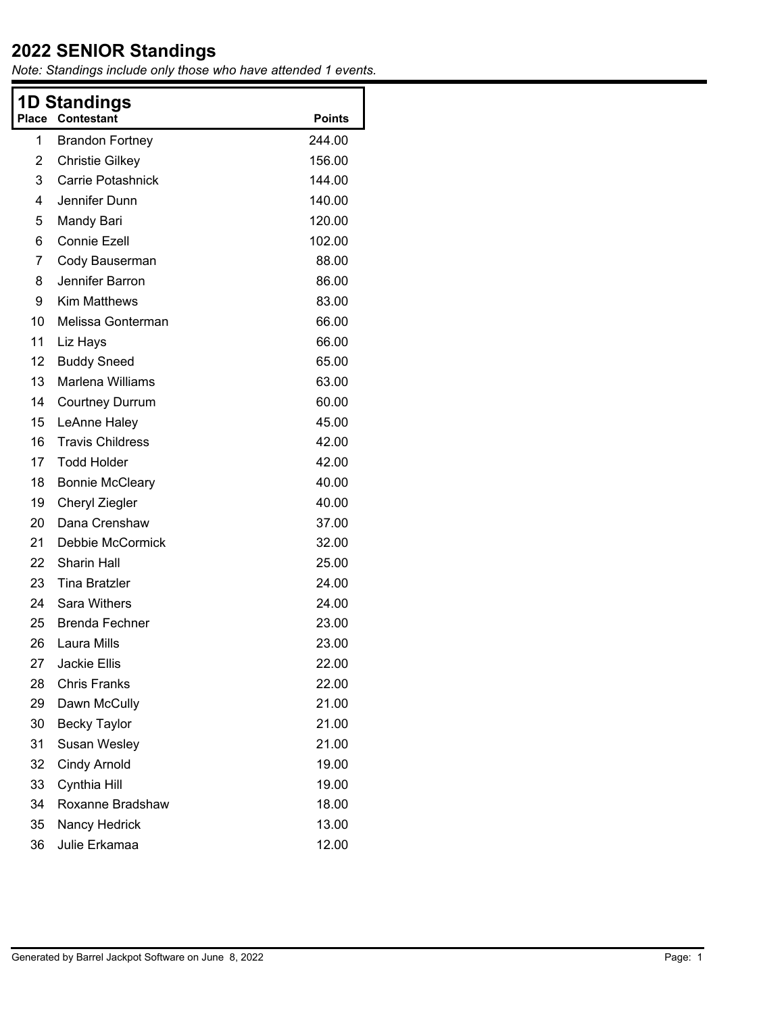| 1D Standings<br><b>Contestant</b><br>Place<br><b>Points</b> |                         |        |  |  |
|-------------------------------------------------------------|-------------------------|--------|--|--|
| 1                                                           | <b>Brandon Fortney</b>  | 244.00 |  |  |
| 2                                                           | <b>Christie Gilkey</b>  | 156.00 |  |  |
| 3                                                           | Carrie Potashnick       | 144.00 |  |  |
| 4                                                           | Jennifer Dunn           | 140.00 |  |  |
| 5                                                           | Mandy Bari              | 120.00 |  |  |
| 6                                                           | <b>Connie Ezell</b>     | 102.00 |  |  |
| 7                                                           | Cody Bauserman          | 88.00  |  |  |
| 8                                                           | Jennifer Barron         | 86.00  |  |  |
| 9                                                           | <b>Kim Matthews</b>     | 83.00  |  |  |
| 10                                                          | Melissa Gonterman       | 66.00  |  |  |
| 11                                                          | Liz Hays                | 66.00  |  |  |
| 12                                                          | <b>Buddy Sneed</b>      | 65.00  |  |  |
| 13                                                          | <b>Marlena Williams</b> | 63.00  |  |  |
| 14                                                          | <b>Courtney Durrum</b>  | 60.00  |  |  |
| 15                                                          | LeAnne Haley            | 45.00  |  |  |
| 16                                                          | <b>Travis Childress</b> | 42.00  |  |  |
| 17                                                          | <b>Todd Holder</b>      | 42.00  |  |  |
| 18                                                          | <b>Bonnie McCleary</b>  | 40.00  |  |  |
| 19                                                          | Cheryl Ziegler          | 40.00  |  |  |
| 20                                                          | Dana Crenshaw           | 37.00  |  |  |
| 21                                                          | Debbie McCormick        | 32.00  |  |  |
| 22                                                          | <b>Sharin Hall</b>      | 25.00  |  |  |
| 23                                                          | <b>Tina Bratzler</b>    | 24.00  |  |  |
| 24                                                          | Sara Withers            | 24.00  |  |  |
| 25                                                          | <b>Brenda Fechner</b>   | 23.00  |  |  |
| 26                                                          | Laura Mills             | 23.00  |  |  |
| 27                                                          | <b>Jackie Ellis</b>     | 22.00  |  |  |
| 28                                                          | <b>Chris Franks</b>     | 22.00  |  |  |
| 29                                                          | Dawn McCully            | 21.00  |  |  |
| 30                                                          | <b>Becky Taylor</b>     | 21.00  |  |  |
| 31                                                          | Susan Wesley            | 21.00  |  |  |
| 32                                                          | <b>Cindy Arnold</b>     | 19.00  |  |  |
| 33                                                          | Cynthia Hill            | 19.00  |  |  |
| 34                                                          | Roxanne Bradshaw        | 18.00  |  |  |
| 35                                                          | Nancy Hedrick           | 13.00  |  |  |
| 36                                                          | Julie Erkamaa           | 12.00  |  |  |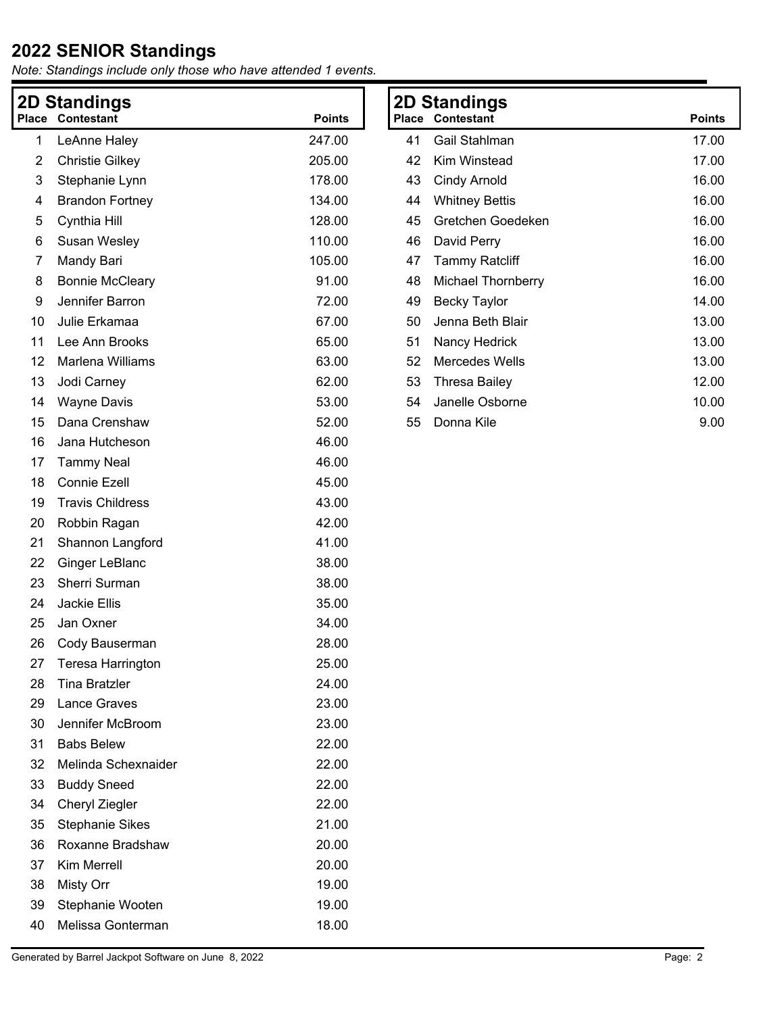| 2D Standings |                         |               |  |
|--------------|-------------------------|---------------|--|
| <b>Place</b> | <b>Contestant</b>       | <b>Points</b> |  |
| 1            | LeAnne Haley            | 247.00        |  |
| 2            | <b>Christie Gilkey</b>  | 205.00        |  |
| 3            | Stephanie Lynn          | 178.00        |  |
| 4            | <b>Brandon Fortney</b>  | 134.00        |  |
| 5            | Cynthia Hill            | 128.00        |  |
| 6            | Susan Wesley            | 110.00        |  |
| 7            | Mandy Bari              | 105.00        |  |
| 8            | <b>Bonnie McCleary</b>  | 91.00         |  |
| 9            | Jennifer Barron         | 72.00         |  |
| 10           | Julie Erkamaa           | 67.00         |  |
| 11           | Lee Ann Brooks          | 65.00         |  |
| 12           | Marlena Williams        | 63.00         |  |
| 13           | Jodi Carney             | 62.00         |  |
| 14           | <b>Wayne Davis</b>      | 53.00         |  |
| 15           | Dana Crenshaw           | 52.00         |  |
| 16           | Jana Hutcheson          | 46.00         |  |
| 17           | <b>Tammy Neal</b>       | 46.00         |  |
| 18           | <b>Connie Ezell</b>     | 45.00         |  |
| 19           | <b>Travis Childress</b> | 43.00         |  |
| 20           | Robbin Ragan            | 42.00         |  |
| 21           | Shannon Langford        | 41.00         |  |
| 22           | Ginger LeBlanc          | 38.00         |  |
| 23           | Sherri Surman           | 38.00         |  |
| 24           | <b>Jackie Ellis</b>     | 35.00         |  |
| 25           | Jan Oxner               | 34.00         |  |
| 26           | Cody Bauserman          | 28.00         |  |
| 27           | Teresa Harrington       | 25.00         |  |
| 28           | <b>Tina Bratzler</b>    | 24.00         |  |
| 29           | Lance Graves            | 23.00         |  |
| 30           | Jennifer McBroom        | 23.00         |  |
| 31           | <b>Babs Belew</b>       | 22.00         |  |
| 32           | Melinda Schexnaider     | 22.00         |  |
| 33           | <b>Buddy Sneed</b>      | 22.00         |  |
| 34           | Cheryl Ziegler          | 22.00         |  |
| 35           | <b>Stephanie Sikes</b>  | 21.00         |  |
| 36           | Roxanne Bradshaw        | 20.00         |  |
| 37           | Kim Merrell             | 20.00         |  |
| 38           | Misty Orr               | 19.00         |  |
| 39           | Stephanie Wooten        | 19.00         |  |
| 40           | Melissa Gonterman       | 18.00         |  |
|              |                         |               |  |

| <b>2D Standings</b> |                       |               |  |
|---------------------|-----------------------|---------------|--|
| Place               | Contestant            | <b>Points</b> |  |
| 41                  | Gail Stahlman         | 17.00         |  |
| 42                  | Kim Winstead          | 17.00         |  |
| 43                  | Cindy Arnold          | 16.00         |  |
| 44                  | <b>Whitney Bettis</b> | 16.00         |  |
| 45                  | Gretchen Goedeken     | 16.00         |  |
| 46                  | David Perry           | 16.00         |  |
| 47                  | Tammy Ratcliff        | 16.00         |  |
| 48                  | Michael Thornberry    | 16.00         |  |
| 49                  | Becky Taylor          | 14.00         |  |
| 50                  | Jenna Beth Blair      | 13.00         |  |
| 51                  | Nancy Hedrick         | 13.00         |  |
| 52                  | Mercedes Wells        | 13.00         |  |
| 53                  | Thresa Bailey         | 12.00         |  |
| 54                  | Janelle Osborne       | 10.00         |  |
| 55                  | Donna Kile            | 9.00          |  |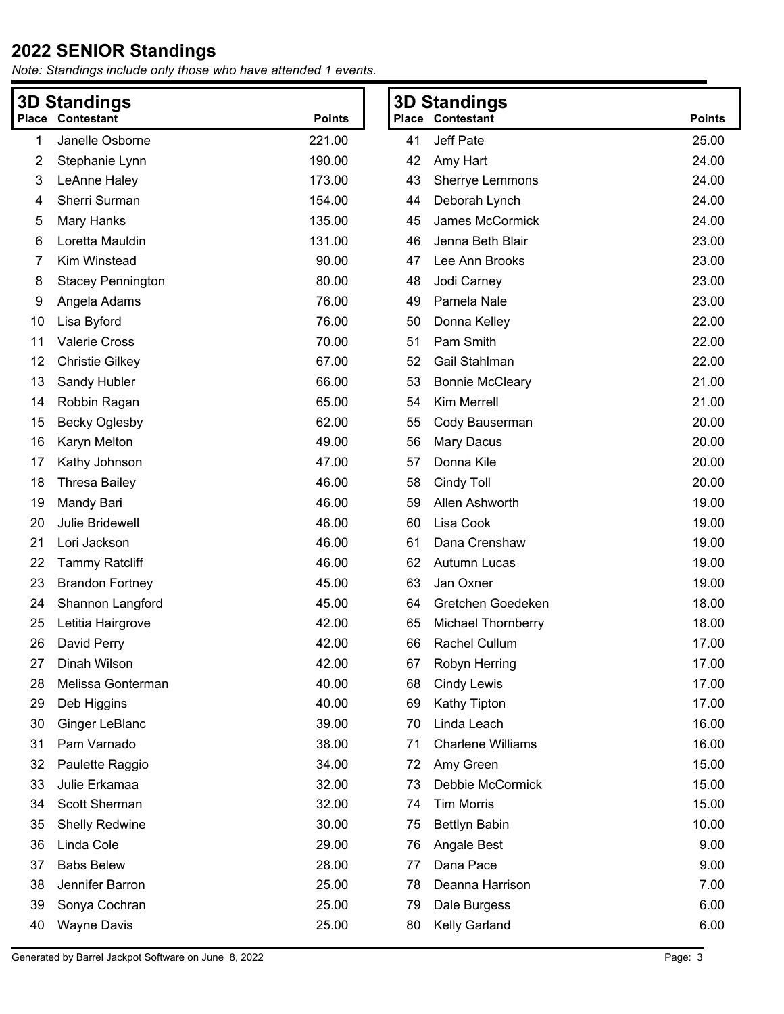| <b>3D Standings</b>                      |                          |        | <b>3D Standings</b>     |                           |       |
|------------------------------------------|--------------------------|--------|-------------------------|---------------------------|-------|
| <b>Place Contestant</b><br><b>Points</b> |                          |        | <b>Place Contestant</b> | <b>Points</b>             |       |
| 1                                        | Janelle Osborne          | 221.00 | 41                      | Jeff Pate                 | 25.00 |
| 2                                        | Stephanie Lynn           | 190.00 | 42                      | Amy Hart                  | 24.00 |
| 3                                        | LeAnne Haley             | 173.00 | 43                      | Sherrye Lemmons           | 24.00 |
| 4                                        | Sherri Surman            | 154.00 | 44                      | Deborah Lynch             | 24.00 |
| 5                                        | Mary Hanks               | 135.00 | 45                      | James McCormick           | 24.00 |
| 6                                        | Loretta Mauldin          | 131.00 | 46                      | Jenna Beth Blair          | 23.00 |
| 7                                        | Kim Winstead             | 90.00  | 47                      | Lee Ann Brooks            | 23.00 |
| 8                                        | <b>Stacey Pennington</b> | 80.00  | 48                      | Jodi Carney               | 23.00 |
| 9                                        | Angela Adams             | 76.00  | 49                      | Pamela Nale               | 23.00 |
| 10                                       | Lisa Byford              | 76.00  | 50                      | Donna Kelley              | 22.00 |
| 11                                       | <b>Valerie Cross</b>     | 70.00  | 51                      | Pam Smith                 | 22.00 |
| 12                                       | <b>Christie Gilkey</b>   | 67.00  | 52                      | Gail Stahlman             | 22.00 |
| 13                                       | Sandy Hubler             | 66.00  | 53                      | <b>Bonnie McCleary</b>    | 21.00 |
| 14                                       | Robbin Ragan             | 65.00  | 54                      | Kim Merrell               | 21.00 |
| 15                                       | <b>Becky Oglesby</b>     | 62.00  | 55                      | Cody Bauserman            | 20.00 |
| 16                                       | Karyn Melton             | 49.00  | 56                      | Mary Dacus                | 20.00 |
| 17                                       | Kathy Johnson            | 47.00  | 57                      | Donna Kile                | 20.00 |
| 18                                       | <b>Thresa Bailey</b>     | 46.00  | 58                      | Cindy Toll                | 20.00 |
| 19                                       | Mandy Bari               | 46.00  | 59                      | Allen Ashworth            | 19.00 |
| 20                                       | Julie Bridewell          | 46.00  | 60                      | Lisa Cook                 | 19.00 |
| 21                                       | Lori Jackson             | 46.00  | 61                      | Dana Crenshaw             | 19.00 |
| 22                                       | <b>Tammy Ratcliff</b>    | 46.00  | 62                      | Autumn Lucas              | 19.00 |
| 23                                       | <b>Brandon Fortney</b>   | 45.00  | 63                      | Jan Oxner                 | 19.00 |
| 24                                       | Shannon Langford         | 45.00  | 64                      | Gretchen Goedeken         | 18.00 |
| 25                                       | Letitia Hairgrove        | 42.00  | 65                      | <b>Michael Thornberry</b> | 18.00 |
| 26                                       | David Perry              | 42.00  | 66                      | Rachel Cullum             | 17.00 |
| 27                                       | Dinah Wilson             | 42.00  | 67                      | Robyn Herring             | 17.00 |
| 28                                       | Melissa Gonterman        | 40.00  | 68                      | <b>Cindy Lewis</b>        | 17.00 |
| 29                                       | Deb Higgins              | 40.00  | 69                      | Kathy Tipton              | 17.00 |
| 30                                       | Ginger LeBlanc           | 39.00  | 70                      | Linda Leach               | 16.00 |
| 31                                       | Pam Varnado              | 38.00  | 71                      | <b>Charlene Williams</b>  | 16.00 |
| 32                                       | Paulette Raggio          | 34.00  | 72                      | Amy Green                 | 15.00 |
| 33                                       | Julie Erkamaa            | 32.00  | 73                      | Debbie McCormick          | 15.00 |
| 34                                       | Scott Sherman            | 32.00  | 74                      | <b>Tim Morris</b>         | 15.00 |
| 35                                       | <b>Shelly Redwine</b>    | 30.00  | 75                      | <b>Bettlyn Babin</b>      | 10.00 |
| 36                                       | Linda Cole               | 29.00  | 76                      | Angale Best               | 9.00  |
| 37                                       | <b>Babs Belew</b>        | 28.00  | 77                      | Dana Pace                 | 9.00  |
| 38                                       | Jennifer Barron          | 25.00  | 78                      | Deanna Harrison           | 7.00  |
| 39                                       | Sonya Cochran            | 25.00  | 79                      | Dale Burgess              | 6.00  |
| 40                                       | <b>Wayne Davis</b>       | 25.00  | 80                      | Kelly Garland             | 6.00  |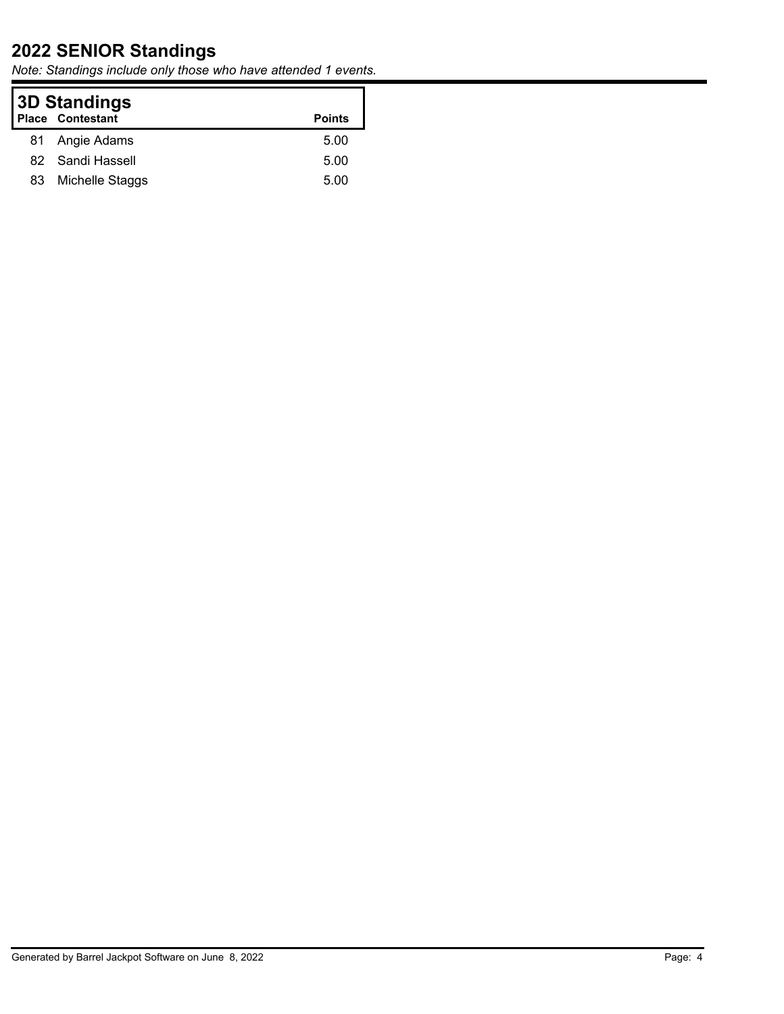| 3D Standings<br><b>Place Contestant</b><br><b>Points</b> |                  |      |
|----------------------------------------------------------|------------------|------|
|                                                          | 81 Angie Adams   | 5.00 |
|                                                          | 82 Sandi Hassell | 5.00 |
| 83                                                       | Michelle Staggs  | 5.00 |